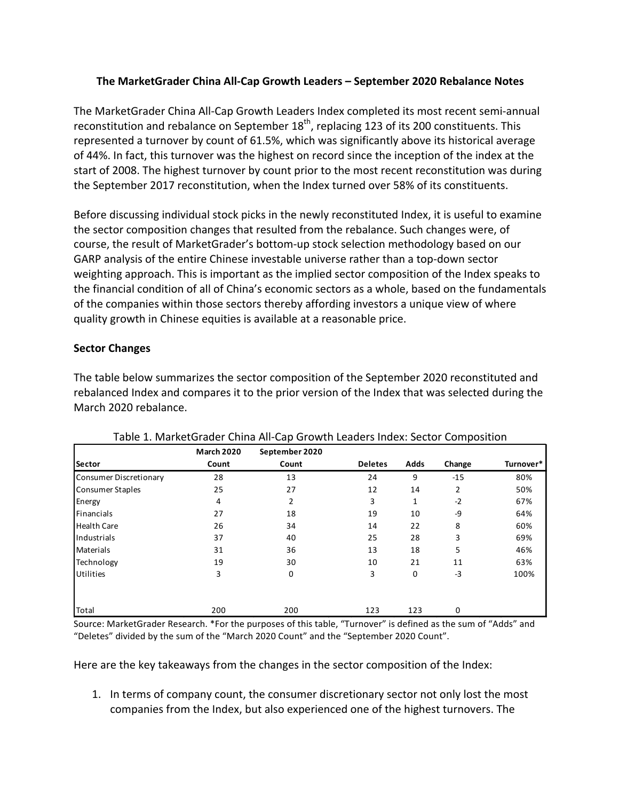# **The MarketGrader China All-Cap Growth Leaders – September 2020 Rebalance Notes**

The MarketGrader China All-Cap Growth Leaders Index completed its most recent semi-annual reconstitution and rebalance on September 18<sup>th</sup>, replacing 123 of its 200 constituents. This represented a turnover by count of 61.5%, which was significantly above its historical average of 44%. In fact, this turnover was the highest on record since the inception of the index at the start of 2008. The highest turnover by count prior to the most recent reconstitution was during the September 2017 reconstitution, when the Index turned over 58% of its constituents.

Before discussing individual stock picks in the newly reconstituted Index, it is useful to examine the sector composition changes that resulted from the rebalance. Such changes were, of course, the result of MarketGrader's bottom-up stock selection methodology based on our GARP analysis of the entire Chinese investable universe rather than a top-down sector weighting approach. This is important as the implied sector composition of the Index speaks to the financial condition of all of China's economic sectors as a whole, based on the fundamentals of the companies within those sectors thereby affording investors a unique view of where quality growth in Chinese equities is available at a reasonable price.

# **Sector Changes**

The table below summarizes the sector composition of the September 2020 reconstituted and rebalanced Index and compares it to the prior version of the Index that was selected during the March 2020 rebalance.

|                               | <b>March 2020</b> | September 2020 |                |      |                |           |
|-------------------------------|-------------------|----------------|----------------|------|----------------|-----------|
| <b>Sector</b>                 | Count             | Count          | <b>Deletes</b> | Adds | Change         | Turnover* |
| <b>Consumer Discretionary</b> | 28                | 13             | 24             | 9    | $-15$          | 80%       |
| <b>Consumer Staples</b>       | 25                | 27             | 12             | 14   | $\overline{2}$ | 50%       |
| Energy                        | 4                 | 2              | 3              | 1    | $-2$           | 67%       |
| Financials                    | 27                | 18             | 19             | 10   | -9             | 64%       |
| <b>Health Care</b>            | 26                | 34             | 14             | 22   | 8              | 60%       |
| Industrials                   | 37                | 40             | 25             | 28   | 3              | 69%       |
| <b>Materials</b>              | 31                | 36             | 13             | 18   | 5              | 46%       |
| Technology                    | 19                | 30             | 10             | 21   | 11             | 63%       |
| Utilities                     | 3                 | 0              | 3              | 0    | -3             | 100%      |
|                               |                   |                |                |      |                |           |
| Total                         | 200               | 200            | 123            | 123  | 0              |           |

## Table 1. MarketGrader China All-Cap Growth Leaders Index: Sector Composition

Source: MarketGrader Research. \*For the purposes of this table, "Turnover" is defined as the sum of "Adds" and "Deletes" divided by the sum of the "March 2020 Count" and the "September 2020 Count".

Here are the key takeaways from the changes in the sector composition of the Index:

1. In terms of company count, the consumer discretionary sector not only lost the most companies from the Index, but also experienced one of the highest turnovers. The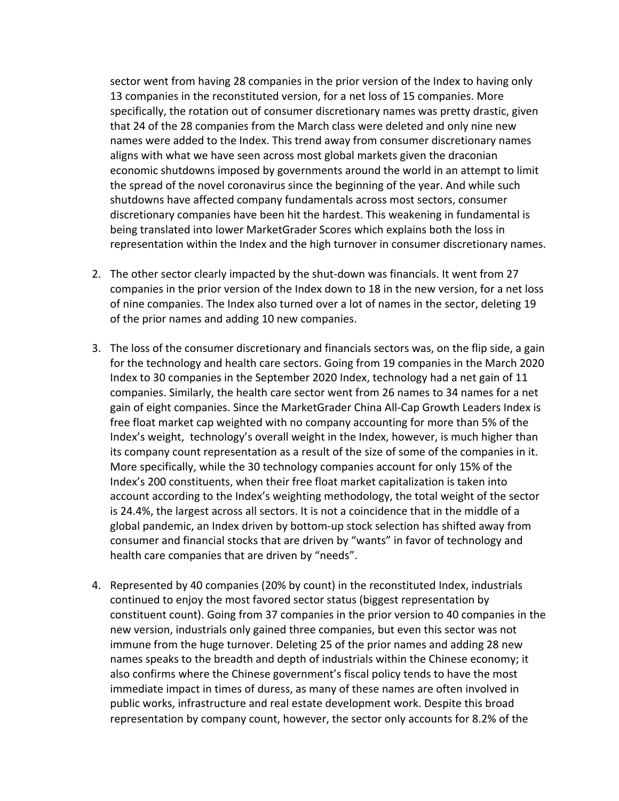sector went from having 28 companies in the prior version of the Index to having only 13 companies in the reconstituted version, for a net loss of 15 companies. More specifically, the rotation out of consumer discretionary names was pretty drastic, given that 24 of the 28 companies from the March class were deleted and only nine new names were added to the Index. This trend away from consumer discretionary names aligns with what we have seen across most global markets given the draconian economic shutdowns imposed by governments around the world in an attempt to limit the spread of the novel coronavirus since the beginning of the year. And while such shutdowns have affected company fundamentals across most sectors, consumer discretionary companies have been hit the hardest. This weakening in fundamental is being translated into lower MarketGrader Scores which explains both the loss in representation within the Index and the high turnover in consumer discretionary names.

- 2. The other sector clearly impacted by the shut-down was financials. It went from 27 companies in the prior version of the Index down to 18 in the new version, for a net loss of nine companies. The Index also turned over a lot of names in the sector, deleting 19 of the prior names and adding 10 new companies.
- 3. The loss of the consumer discretionary and financials sectors was, on the flip side, a gain for the technology and health care sectors. Going from 19 companies in the March 2020 Index to 30 companies in the September 2020 Index, technology had a net gain of 11 companies. Similarly, the health care sector went from 26 names to 34 names for a net gain of eight companies. Since the MarketGrader China All-Cap Growth Leaders Index is free float market cap weighted with no company accounting for more than 5% of the Index's weight, technology's overall weight in the Index, however, is much higher than its company count representation as a result of the size of some of the companies in it. More specifically, while the 30 technology companies account for only 15% of the Index's 200 constituents, when their free float market capitalization is taken into account according to the Index's weighting methodology, the total weight of the sector is 24.4%, the largest across all sectors. It is not a coincidence that in the middle of a global pandemic, an Index driven by bottom-up stock selection has shifted away from consumer and financial stocks that are driven by "wants" in favor of technology and health care companies that are driven by "needs".
- 4. Represented by 40 companies (20% by count) in the reconstituted Index, industrials continued to enjoy the most favored sector status (biggest representation by constituent count). Going from 37 companies in the prior version to 40 companies in the new version, industrials only gained three companies, but even this sector was not immune from the huge turnover. Deleting 25 of the prior names and adding 28 new names speaks to the breadth and depth of industrials within the Chinese economy; it also confirms where the Chinese government's fiscal policy tends to have the most immediate impact in times of duress, as many of these names are often involved in public works, infrastructure and real estate development work. Despite this broad representation by company count, however, the sector only accounts for 8.2% of the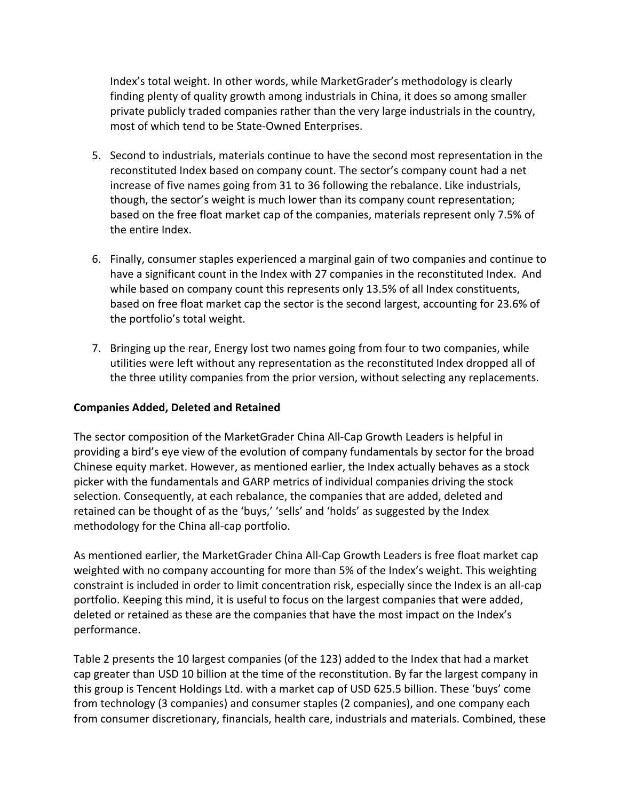Index's total weight. In other words, while MarketGrader's methodology is clearly finding plenty of quality growth among industrials in China, it does so among smaller private publicly traded companies rather than the very large industrials in the country, most of which tend to be State-Owned Enterprises.

- 5. Second to industrials, materials continue to have the second most representation in the reconstituted Index based on company count. The sector's company count had a net increase of five names going from 31 to 36 following the rebalance. Like industrials, though, the sector's weight is much lower than its company count representation; based on the free float market cap of the companies, materials represent only 7.5% of the entire Index.
- 6. Finally, consumer staples experienced a marginal gain of two companies and continue to have a significant count in the Index with 27 companies in the reconstituted Index. And while based on company count this represents only 13.5% of all Index constituents, based on free float market cap the sector is the second largest, accounting for 23.6% of the portfolio's total weight.
- 7. Bringing up the rear, Energy lost two names going from four to two companies, while utilities were left without any representation as the reconstituted Index dropped all of the three utility companies from the prior version, without selecting any replacements.

## **Companies Added, Deleted and Retained**

The sector composition of the MarketGrader China All-Cap Growth Leaders is helpful in providing a bird's eye view of the evolution of company fundamentals by sector for the broad Chinese equity market. However, as mentioned earlier, the Index actually behaves as a stock picker with the fundamentals and GARP metrics of individual companies driving the stock selection. Consequently, at each rebalance, the companies that are added, deleted and retained can be thought of as the 'buys,' 'sells' and 'holds' as suggested by the Index methodology for the China all-cap portfolio.

As mentioned earlier, the MarketGrader China All-Cap Growth Leaders is free float market cap weighted with no company accounting for more than 5% of the Index's weight. This weighting constraint is included in order to limit concentration risk, especially since the Index is an all-cap portfolio. Keeping this mind, it is useful to focus on the largest companies that were added, deleted or retained as these are the companies that have the most impact on the Index's performance.

Table 2 presents the 10 largest companies (of the 123) added to the Index that had a market cap greater than USD 10 billion at the time of the reconstitution. By far the largest company in this group is Tencent Holdings Ltd. with a market cap of USD 625.5 billion. These 'buys' come from technology (3 companies) and consumer staples (2 companies), and one company each from consumer discretionary, financials, health care, industrials and materials. Combined, these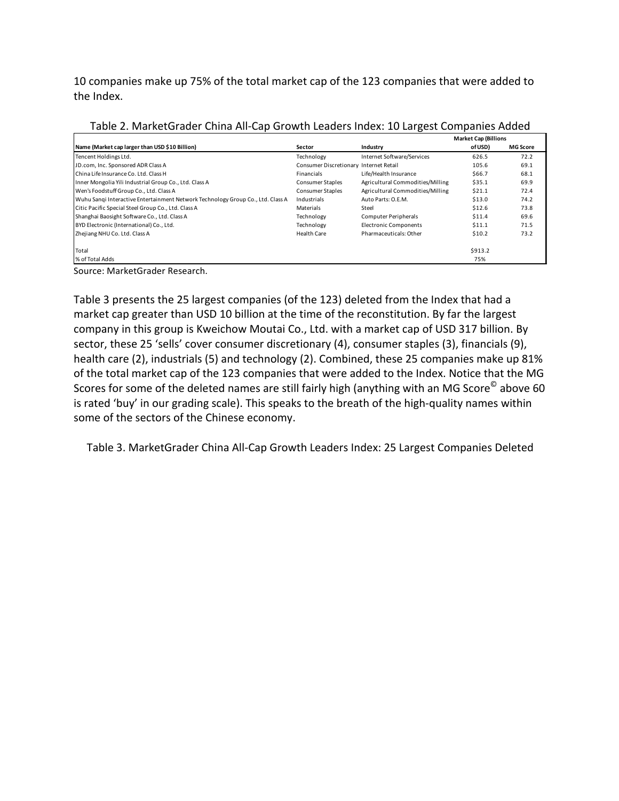10 companies make up 75% of the total market cap of the 123 companies that were added to the Index.

|                                                                                 |                                        |                                  | <b>Market Cap (Billions</b> |                 |
|---------------------------------------------------------------------------------|----------------------------------------|----------------------------------|-----------------------------|-----------------|
| Name (Market cap larger than USD \$10 Billion)                                  | Sector                                 | Industry                         | of USD)                     | <b>MG Score</b> |
| Tencent Holdings Ltd.                                                           | Technology                             | Internet Software/Services       | 626.5                       | 72.2            |
| JD.com, Inc. Sponsored ADR Class A                                              | Consumer Discretionary Internet Retail |                                  | 105.6                       | 69.1            |
| China Life Insurance Co. Ltd. Class H                                           | Financials                             | Life/Health Insurance            | \$66.7                      | 68.1            |
| Inner Mongolia Yili Industrial Group Co., Ltd. Class A                          | <b>Consumer Staples</b>                | Agricultural Commodities/Milling | \$35.1                      | 69.9            |
| Wen's Foodstuff Group Co., Ltd. Class A                                         | Consumer Staples                       | Agricultural Commodities/Milling | \$21.1                      | 72.4            |
| Wuhu Sangi Interactive Entertainment Network Technology Group Co., Ltd. Class A | Industrials                            | Auto Parts: O.E.M.               | \$13.0                      | 74.2            |
| Citic Pacific Special Steel Group Co., Ltd. Class A                             | Materials                              | Steel                            | \$12.6                      | 73.8            |
| Shanghai Baosight Software Co., Ltd. Class A                                    | Technology                             | Computer Peripherals             | \$11.4                      | 69.6            |
| BYD Electronic (International) Co., Ltd.                                        | Technology                             | <b>Electronic Components</b>     | \$11.1                      | 71.5            |
| Zhejiang NHU Co. Ltd. Class A                                                   | <b>Health Care</b>                     | Pharmaceuticals: Other           | \$10.2                      | 73.2            |
| Total                                                                           |                                        |                                  | \$913.2                     |                 |
| % of Total Adds                                                                 |                                        |                                  | 75%                         |                 |

| Table 2. MarketGrader China All-Cap Growth Leaders Index: 10 Largest Companies Added |  |  |  |  |  |  |
|--------------------------------------------------------------------------------------|--|--|--|--|--|--|
|--------------------------------------------------------------------------------------|--|--|--|--|--|--|

Source: MarketGrader Research.

Table 3 presents the 25 largest companies (of the 123) deleted from the Index that had a market cap greater than USD 10 billion at the time of the reconstitution. By far the largest company in this group is Kweichow Moutai Co., Ltd. with a market cap of USD 317 billion. By sector, these 25 'sells' cover consumer discretionary (4), consumer staples (3), financials (9), health care (2), industrials (5) and technology (2). Combined, these 25 companies make up 81% of the total market cap of the 123 companies that were added to the Index. Notice that the MG Scores for some of the deleted names are still fairly high (anything with an MG Score<sup>©</sup> above 60 is rated 'buy' in our grading scale). This speaks to the breath of the high-quality names within some of the sectors of the Chinese economy.

Table 3. MarketGrader China All-Cap Growth Leaders Index: 25 Largest Companies Deleted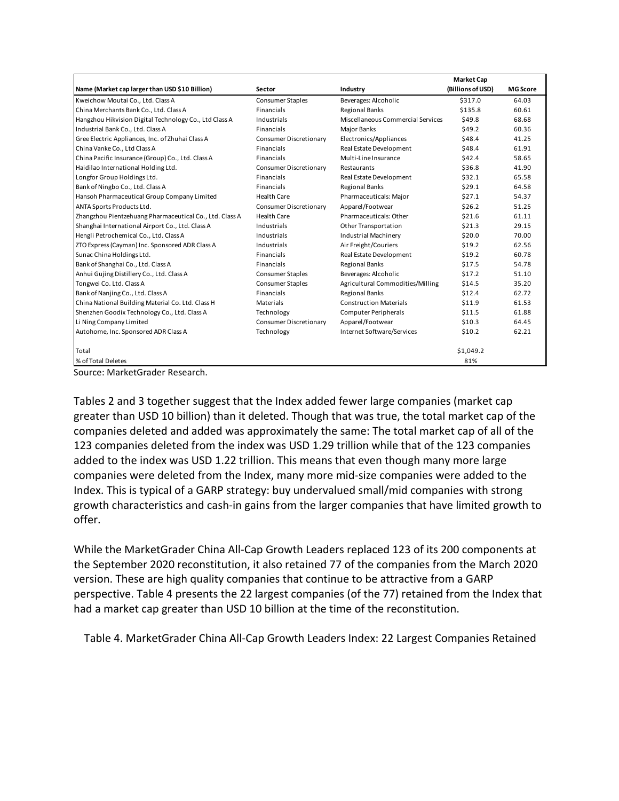|                                                         |                         |                                   | <b>Market Cap</b> |                 |
|---------------------------------------------------------|-------------------------|-----------------------------------|-------------------|-----------------|
| Name (Market cap larger than USD \$10 Billion)          | Sector                  | Industry                          | (Billions of USD) | <b>MG Score</b> |
| Kweichow Moutai Co., Ltd. Class A                       | <b>Consumer Staples</b> | Beverages: Alcoholic              | \$317.0           | 64.03           |
| China Merchants Bank Co., Ltd. Class A                  | Financials              | <b>Regional Banks</b>             | \$135.8           | 60.61           |
| Hangzhou Hikvision Digital Technology Co., Ltd Class A  | Industrials             | Miscellaneous Commercial Services | \$49.8            | 68.68           |
| Industrial Bank Co., Ltd. Class A                       | Financials              | Major Banks                       | \$49.2            | 60.36           |
| Gree Electric Appliances, Inc. of Zhuhai Class A        | Consumer Discretionary  | Electronics/Appliances            | \$48.4            | 41.25           |
| China Vanke Co., Ltd Class A                            | Financials              | Real Estate Development           | \$48.4            | 61.91           |
| China Pacific Insurance (Group) Co., Ltd. Class A       | Financials              | Multi-Line Insurance              | \$42.4            | 58.65           |
| Haidilao International Holding Ltd.                     | Consumer Discretionary  | Restaurants                       | \$36.8            | 41.90           |
| Longfor Group Holdings Ltd.                             | Financials              | Real Estate Development           | \$32.1            | 65.58           |
| Bank of Ningbo Co., Ltd. Class A                        | Financials              | <b>Regional Banks</b>             | \$29.1            | 64.58           |
| Hansoh Pharmaceutical Group Company Limited             | <b>Health Care</b>      | Pharmaceuticals: Major            | \$27.1            | 54.37           |
| ANTA Sports Products Ltd.                               | Consumer Discretionary  | Apparel/Footwear                  | \$26.2            | 51.25           |
| Zhangzhou Pientzehuang Pharmaceutical Co., Ltd. Class A | <b>Health Care</b>      | Pharmaceuticals: Other            | \$21.6            | 61.11           |
| Shanghai International Airport Co., Ltd. Class A        | Industrials             | Other Transportation              | \$21.3            | 29.15           |
| Hengli Petrochemical Co., Ltd. Class A                  | Industrials             | <b>Industrial Machinery</b>       | \$20.0            | 70.00           |
| ZTO Express (Cayman) Inc. Sponsored ADR Class A         | Industrials             | Air Freight/Couriers              | \$19.2            | 62.56           |
| Sunac China Holdings Ltd.                               | Financials              | Real Estate Development           | \$19.2            | 60.78           |
| Bank of Shanghai Co., Ltd. Class A                      | Financials              | <b>Regional Banks</b>             | \$17.5            | 54.78           |
| Anhui Gujing Distillery Co., Ltd. Class A               | <b>Consumer Staples</b> | Beverages: Alcoholic              | \$17.2            | 51.10           |
| Tongwei Co. Ltd. Class A                                | <b>Consumer Staples</b> | Agricultural Commodities/Milling  | \$14.5            | 35.20           |
| Bank of Nanjing Co., Ltd. Class A                       | Financials              | <b>Regional Banks</b>             | \$12.4            | 62.72           |
| China National Building Material Co. Ltd. Class H       | Materials               | <b>Construction Materials</b>     | \$11.9            | 61.53           |
| Shenzhen Goodix Technology Co., Ltd. Class A            | Technology              | Computer Peripherals              | \$11.5            | 61.88           |
| Li Ning Company Limited                                 | Consumer Discretionary  | Apparel/Footwear                  | \$10.3            | 64.45           |
| Autohome, Inc. Sponsored ADR Class A                    | Technology              | Internet Software/Services        | \$10.2            | 62.21           |
| Total                                                   |                         |                                   | \$1,049.2         |                 |
| % of Total Deletes                                      |                         |                                   | 81%               |                 |

Source: MarketGrader Research.

Tables 2 and 3 together suggest that the Index added fewer large companies (market cap greater than USD 10 billion) than it deleted. Though that was true, the total market cap of the companies deleted and added was approximately the same: The total market cap of all of the 123 companies deleted from the index was USD 1.29 trillion while that of the 123 companies added to the index was USD 1.22 trillion. This means that even though many more large companies were deleted from the Index, many more mid-size companies were added to the Index. This is typical of a GARP strategy: buy undervalued small/mid companies with strong growth characteristics and cash-in gains from the larger companies that have limited growth to offer.

While the MarketGrader China All-Cap Growth Leaders replaced 123 of its 200 components at the September 2020 reconstitution, it also retained 77 of the companies from the March 2020 version. These are high quality companies that continue to be attractive from a GARP perspective. Table 4 presents the 22 largest companies (of the 77) retained from the Index that had a market cap greater than USD 10 billion at the time of the reconstitution.

Table 4. MarketGrader China All-Cap Growth Leaders Index: 22 Largest Companies Retained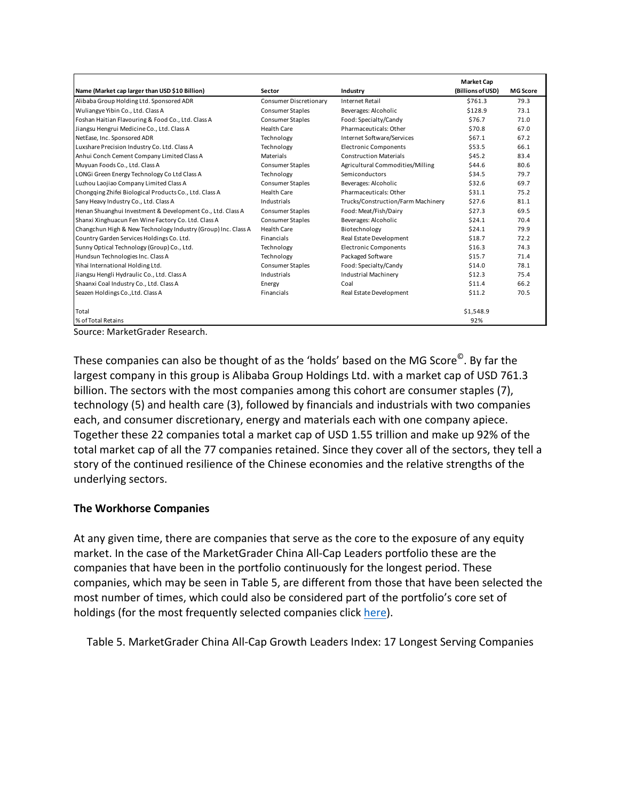|                                                               |                        |                                    | <b>Market Cap</b> |                 |
|---------------------------------------------------------------|------------------------|------------------------------------|-------------------|-----------------|
| Name (Market cap larger than USD \$10 Billion)                | Sector                 | Industry                           | (Billions of USD) | <b>MG Score</b> |
| Alibaba Group Holding Ltd. Sponsored ADR                      | Consumer Discretionary | <b>Internet Retail</b>             | \$761.3           | 79.3            |
| Wuliangye Yibin Co., Ltd. Class A                             | Consumer Staples       | Beverages: Alcoholic               | \$128.9           | 73.1            |
| Foshan Haitian Flavouring & Food Co., Ltd. Class A            | Consumer Staples       | Food: Specialty/Candy              | \$76.7            | 71.0            |
| Jiangsu Hengrui Medicine Co., Ltd. Class A                    | Health Care            | Pharmaceuticals: Other             | \$70.8            | 67.0            |
| NetEase, Inc. Sponsored ADR                                   | Technology             | Internet Software/Services         | \$67.1            | 67.2            |
| Luxshare Precision Industry Co. Ltd. Class A                  | Technology             | <b>Electronic Components</b>       | \$53.5            | 66.1            |
| Anhui Conch Cement Company Limited Class A                    | Materials              | <b>Construction Materials</b>      | \$45.2            | 83.4            |
| Muyuan Foods Co., Ltd. Class A                                | Consumer Staples       | Agricultural Commodities/Milling   | \$44.6            | 80.6            |
| LONGi Green Energy Technology Co Ltd Class A                  | Technology             | Semiconductors                     | \$34.5            | 79.7            |
| Luzhou Laojiao Company Limited Class A                        | Consumer Staples       | Beverages: Alcoholic               | \$32.6            | 69.7            |
| Chongging Zhifei Biological Products Co., Ltd. Class A        | Health Care            | Pharmaceuticals: Other             | \$31.1            | 75.2            |
| Sany Heavy Industry Co., Ltd. Class A                         | Industrials            | Trucks/Construction/Farm Machinery | \$27.6            | 81.1            |
| Henan Shuanghui Investment & Development Co., Ltd. Class A    | Consumer Staples       | Food: Meat/Fish/Dairy              | \$27.3            | 69.5            |
| Shanxi Xinghuacun Fen Wine Factory Co. Ltd. Class A           | Consumer Staples       | Beverages: Alcoholic               | \$24.1            | 70.4            |
| Changchun High & New Technology Industry (Group) Inc. Class A | Health Care            | Biotechnology                      | \$24.1            | 79.9            |
| Country Garden Services Holdings Co. Ltd.                     | <b>Financials</b>      | Real Estate Development            | \$18.7            | 72.2            |
| Sunny Optical Technology (Group) Co., Ltd.                    | Technology             | <b>Electronic Components</b>       | \$16.3            | 74.3            |
| Hundsun Technologies Inc. Class A                             | Technology             | Packaged Software                  | \$15.7            | 71.4            |
| Yihai International Holding Ltd.                              | Consumer Staples       | Food: Specialty/Candy              | \$14.0            | 78.1            |
| Jiangsu Hengli Hydraulic Co., Ltd. Class A                    | Industrials            | <b>Industrial Machinery</b>        | \$12.3            | 75.4            |
| Shaanxi Coal Industry Co., Ltd. Class A                       | Energy                 | Coal                               | \$11.4            | 66.2            |
| Seazen Holdings Co., Ltd. Class A                             | Financials             | Real Estate Development            | \$11.2            | 70.5            |
| Total                                                         |                        |                                    | \$1,548.9         |                 |
| % of Total Retains                                            |                        |                                    | 92%               |                 |

Source: MarketGrader Research.

These companies can also be thought of as the 'holds' based on the MG Score<sup>©</sup>. By far the largest company in this group is Alibaba Group Holdings Ltd. with a market cap of USD 761.3 billion. The sectors with the most companies among this cohort are consumer staples (7), technology (5) and health care (3), followed by financials and industrials with two companies each, and consumer discretionary, energy and materials each with one company apiece. Together these 22 companies total a market cap of USD 1.55 trillion and make up 92% of the total market cap of all the 77 companies retained. Since they cover all of the sectors, they tell a story of the continued resilience of the Chinese economies and the relative strengths of the underlying sectors.

## **The Workhorse Companies**

At any given time, there are companies that serve as the core to the exposure of any equity market. In the case of the MarketGrader China All-Cap Leaders portfolio these are the companies that have been in the portfolio continuously for the longest period. These companies, which may be seen in Table 5, are different from those that have been selected the most number of times, which could also be considered part of the portfolio's core set of holdings (for the most frequently selected companies click here).

Table 5. MarketGrader China All-Cap Growth Leaders Index: 17 Longest Serving Companies